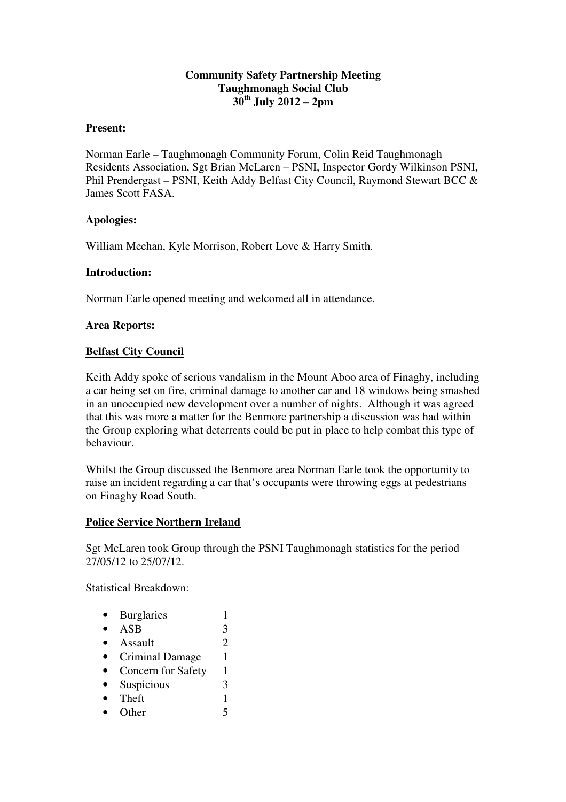## **Community Safety Partnership Meeting Taughmonagh Social Club 30th July 2012 – 2pm**

#### **Present:**

Norman Earle – Taughmonagh Community Forum, Colin Reid Taughmonagh Residents Association, Sgt Brian McLaren – PSNI, Inspector Gordy Wilkinson PSNI, Phil Prendergast – PSNI, Keith Addy Belfast City Council, Raymond Stewart BCC & James Scott FASA.

### **Apologies:**

William Meehan, Kyle Morrison, Robert Love & Harry Smith.

### **Introduction:**

Norman Earle opened meeting and welcomed all in attendance.

### **Area Reports:**

#### **Belfast City Council**

Keith Addy spoke of serious vandalism in the Mount Aboo area of Finaghy, including a car being set on fire, criminal damage to another car and 18 windows being smashed in an unoccupied new development over a number of nights. Although it was agreed that this was more a matter for the Benmore partnership a discussion was had within the Group exploring what deterrents could be put in place to help combat this type of behaviour.

Whilst the Group discussed the Benmore area Norman Earle took the opportunity to raise an incident regarding a car that's occupants were throwing eggs at pedestrians on Finaghy Road South.

#### **Police Service Northern Ireland**

Sgt McLaren took Group through the PSNI Taughmonagh statistics for the period 27/05/12 to 25/07/12.

Statistical Breakdown:

- Burglaries 1
- $ASB$  3
- Assault  $\overline{2}$
- Criminal Damage 1
- Concern for Safety 1
- Suspicious 3
- Theft  $1$
- Other 5